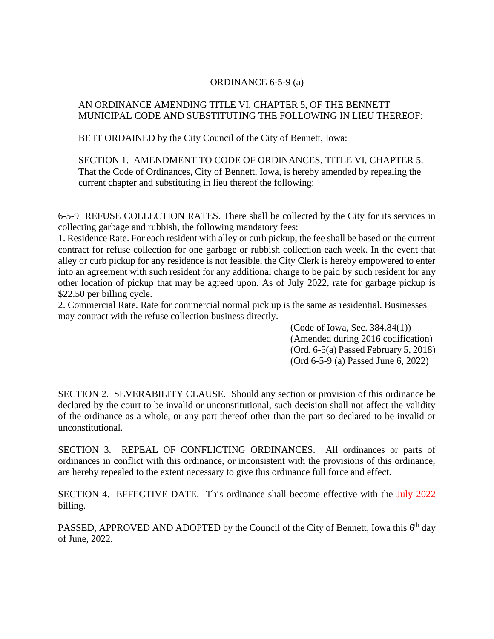## ORDINANCE 6-5-9 (a)

## AN ORDINANCE AMENDING TITLE VI, CHAPTER 5, OF THE BENNETT MUNICIPAL CODE AND SUBSTITUTING THE FOLLOWING IN LIEU THEREOF:

BE IT ORDAINED by the City Council of the City of Bennett, Iowa:

SECTION 1. AMENDMENT TO CODE OF ORDINANCES, TITLE VI, CHAPTER 5. That the Code of Ordinances, City of Bennett, Iowa, is hereby amended by repealing the current chapter and substituting in lieu thereof the following:

6-5-9 REFUSE COLLECTION RATES. There shall be collected by the City for its services in collecting garbage and rubbish, the following mandatory fees:

1. Residence Rate. For each resident with alley or curb pickup, the fee shall be based on the current contract for refuse collection for one garbage or rubbish collection each week. In the event that alley or curb pickup for any residence is not feasible, the City Clerk is hereby empowered to enter into an agreement with such resident for any additional charge to be paid by such resident for any other location of pickup that may be agreed upon. As of July 2022, rate for garbage pickup is \$22.50 per billing cycle.

2. Commercial Rate. Rate for commercial normal pick up is the same as residential. Businesses may contract with the refuse collection business directly.

> (Code of Iowa, Sec. 384.84(1)) (Amended during 2016 codification) (Ord. 6-5(a) Passed February 5, 2018) (Ord 6-5-9 (a) Passed June 6, 2022)

SECTION 2. SEVERABILITY CLAUSE. Should any section or provision of this ordinance be declared by the court to be invalid or unconstitutional, such decision shall not affect the validity of the ordinance as a whole, or any part thereof other than the part so declared to be invalid or unconstitutional.

SECTION 3. REPEAL OF CONFLICTING ORDINANCES. All ordinances or parts of ordinances in conflict with this ordinance, or inconsistent with the provisions of this ordinance, are hereby repealed to the extent necessary to give this ordinance full force and effect.

SECTION 4. EFFECTIVE DATE. This ordinance shall become effective with the July 2022 billing.

PASSED, APPROVED AND ADOPTED by the Council of the City of Bennett, Iowa this  $6<sup>th</sup>$  day of June, 2022.